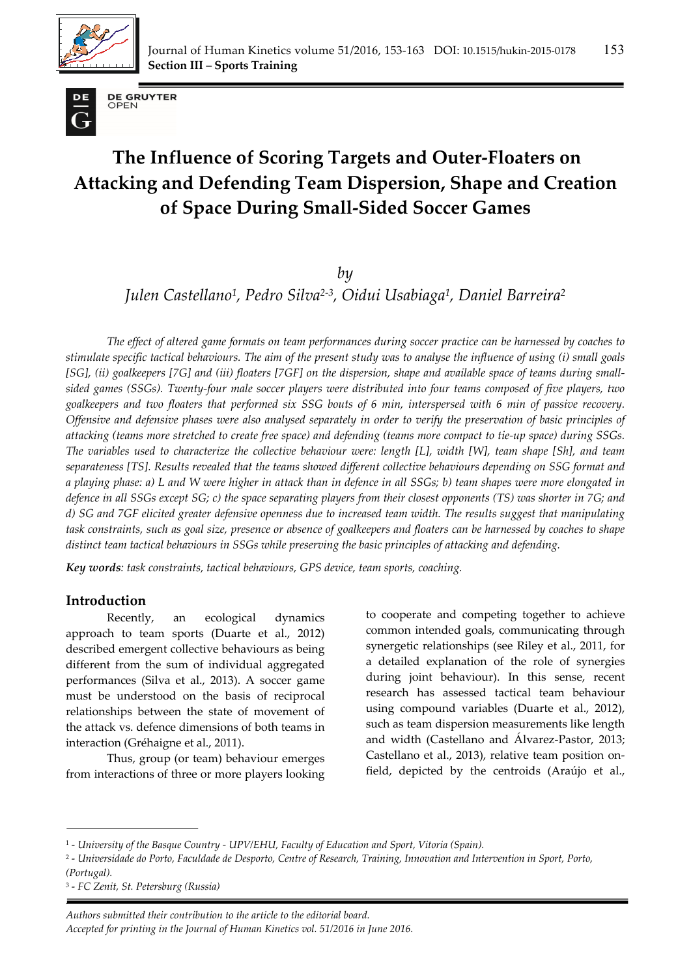



**DE GRUYTER** OPEN

# **The Influence of Scoring Targets and Outer-Floaters on Attacking and Defending Team Dispersion, Shape and Creation of Space During Small-Sided Soccer Games**

*by* 

*Julen Castellano1, Pedro Silva2-3, Oidui Usabiaga1, Daniel Barreira2*

*The effect of altered game formats on team performances during soccer practice can be harnessed by coaches to stimulate specific tactical behaviours. The aim of the present study was to analyse the influence of using (i) small goals [SG], (ii) goalkeepers [7G] and (iii) floaters [7GF] on the dispersion, shape and available space of teams during smallsided games (SSGs). Twenty-four male soccer players were distributed into four teams composed of five players, two goalkeepers and two floaters that performed six SSG bouts of 6 min, interspersed with 6 min of passive recovery. Offensive and defensive phases were also analysed separately in order to verify the preservation of basic principles of attacking (teams more stretched to create free space) and defending (teams more compact to tie-up space) during SSGs. The variables used to characterize the collective behaviour were: length [L], width [W], team shape [Sh], and team separateness [TS]. Results revealed that the teams showed different collective behaviours depending on SSG format and a playing phase: a) L and W were higher in attack than in defence in all SSGs; b) team shapes were more elongated in defence in all SSGs except SG; c) the space separating players from their closest opponents (TS) was shorter in 7G; and d) SG and 7GF elicited greater defensive openness due to increased team width. The results suggest that manipulating task constraints, such as goal size, presence or absence of goalkeepers and floaters can be harnessed by coaches to shape distinct team tactical behaviours in SSGs while preserving the basic principles of attacking and defending.* 

*Key words: task constraints, tactical behaviours, GPS device, team sports, coaching.* 

# **Introduction**

Recently, an ecological dynamics approach to team sports (Duarte et al., 2012) described emergent collective behaviours as being different from the sum of individual aggregated performances (Silva et al., 2013). A soccer game must be understood on the basis of reciprocal relationships between the state of movement of the attack vs. defence dimensions of both teams in interaction (Gréhaigne et al., 2011).

Thus, group (or team) behaviour emerges from interactions of three or more players looking to cooperate and competing together to achieve common intended goals, communicating through synergetic relationships (see Riley et al., 2011, for a detailed explanation of the role of synergies during joint behaviour). In this sense, recent research has assessed tactical team behaviour using compound variables (Duarte et al., 2012), such as team dispersion measurements like length and width (Castellano and Álvarez-Pastor, 2013; Castellano et al., 2013), relative team position onfield, depicted by the centroids (Araújo et al.,

<sup>1 -</sup> *University of the Basque Country - UPV/EHU, Faculty of Education and Sport, Vitoria (Spain).* 

<sup>2 -</sup> *Universidade do Porto, Faculdade de Desporto, Centre of Research, Training, Innovation and Intervention in Sport, Porto, (Portugal).* 

<sup>3 -</sup> *FC Zenit, St. Petersburg (Russia)*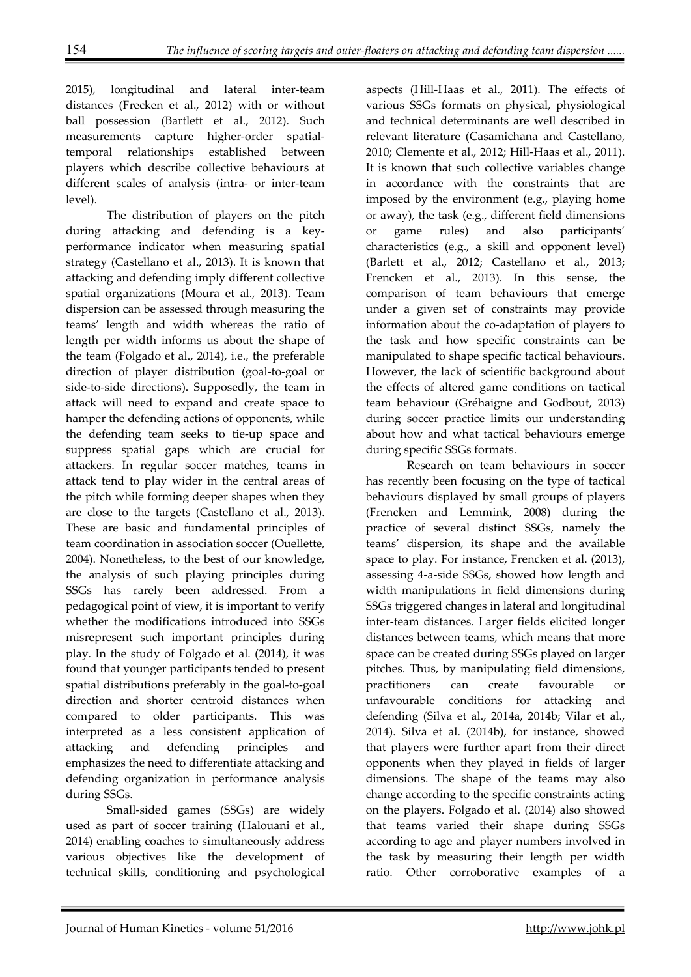2015), longitudinal and lateral inter-team distances (Frecken et al., 2012) with or without ball possession (Bartlett et al., 2012). Such measurements capture higher-order spatialtemporal relationships established between players which describe collective behaviours at different scales of analysis (intra- or inter-team level).

The distribution of players on the pitch during attacking and defending is a keyperformance indicator when measuring spatial strategy (Castellano et al., 2013). It is known that attacking and defending imply different collective spatial organizations (Moura et al., 2013). Team dispersion can be assessed through measuring the teams' length and width whereas the ratio of length per width informs us about the shape of the team (Folgado et al., 2014), i.e., the preferable direction of player distribution (goal-to-goal or side-to-side directions). Supposedly, the team in attack will need to expand and create space to hamper the defending actions of opponents, while the defending team seeks to tie-up space and suppress spatial gaps which are crucial for attackers. In regular soccer matches, teams in attack tend to play wider in the central areas of the pitch while forming deeper shapes when they are close to the targets (Castellano et al., 2013). These are basic and fundamental principles of team coordination in association soccer (Ouellette, 2004). Nonetheless, to the best of our knowledge, the analysis of such playing principles during SSGs has rarely been addressed. From a pedagogical point of view, it is important to verify whether the modifications introduced into SSGs misrepresent such important principles during play. In the study of Folgado et al. (2014), it was found that younger participants tended to present spatial distributions preferably in the goal-to-goal direction and shorter centroid distances when compared to older participants. This was interpreted as a less consistent application of attacking and defending principles and emphasizes the need to differentiate attacking and defending organization in performance analysis during SSGs.

Small-sided games (SSGs) are widely used as part of soccer training (Halouani et al., 2014) enabling coaches to simultaneously address various objectives like the development of technical skills, conditioning and psychological

aspects (Hill-Haas et al., 2011). The effects of various SSGs formats on physical, physiological and technical determinants are well described in relevant literature (Casamichana and Castellano, 2010; Clemente et al., 2012; Hill-Haas et al., 2011). It is known that such collective variables change in accordance with the constraints that are imposed by the environment (e.g., playing home or away), the task (e.g., different field dimensions or game rules) and also participants' characteristics (e.g., a skill and opponent level) (Barlett et al., 2012; Castellano et al., 2013; Frencken et al., 2013). In this sense, the comparison of team behaviours that emerge under a given set of constraints may provide information about the co-adaptation of players to the task and how specific constraints can be manipulated to shape specific tactical behaviours. However, the lack of scientific background about the effects of altered game conditions on tactical team behaviour (Gréhaigne and Godbout, 2013) during soccer practice limits our understanding about how and what tactical behaviours emerge during specific SSGs formats.

Research on team behaviours in soccer has recently been focusing on the type of tactical behaviours displayed by small groups of players (Frencken and Lemmink, 2008) during the practice of several distinct SSGs, namely the teams' dispersion, its shape and the available space to play. For instance, Frencken et al. (2013), assessing 4-a-side SSGs, showed how length and width manipulations in field dimensions during SSGs triggered changes in lateral and longitudinal inter-team distances. Larger fields elicited longer distances between teams, which means that more space can be created during SSGs played on larger pitches. Thus, by manipulating field dimensions, practitioners can create favourable or unfavourable conditions for attacking and defending (Silva et al., 2014a, 2014b; Vilar et al., 2014). Silva et al. (2014b), for instance, showed that players were further apart from their direct opponents when they played in fields of larger dimensions. The shape of the teams may also change according to the specific constraints acting on the players. Folgado et al. (2014) also showed that teams varied their shape during SSGs according to age and player numbers involved in the task by measuring their length per width ratio. Other corroborative examples of a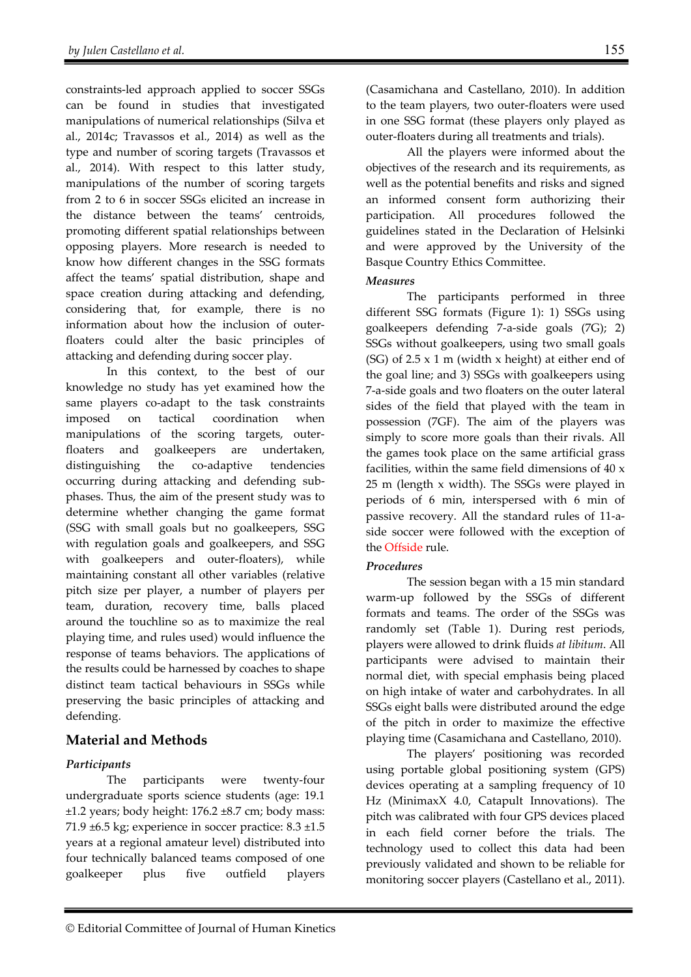constraints-led approach applied to soccer SSGs can be found in studies that investigated manipulations of numerical relationships (Silva et al., 2014c; Travassos et al., 2014) as well as the type and number of scoring targets (Travassos et al., 2014). With respect to this latter study, manipulations of the number of scoring targets from 2 to 6 in soccer SSGs elicited an increase in the distance between the teams' centroids, promoting different spatial relationships between opposing players. More research is needed to know how different changes in the SSG formats affect the teams' spatial distribution, shape and space creation during attacking and defending, considering that, for example, there is no information about how the inclusion of outerfloaters could alter the basic principles of attacking and defending during soccer play.

In this context, to the best of our knowledge no study has yet examined how the same players co-adapt to the task constraints imposed on tactical coordination when manipulations of the scoring targets, outerfloaters and goalkeepers are undertaken, distinguishing the co-adaptive tendencies occurring during attacking and defending subphases. Thus, the aim of the present study was to determine whether changing the game format (SSG with small goals but no goalkeepers, SSG with regulation goals and goalkeepers, and SSG with goalkeepers and outer-floaters), while maintaining constant all other variables (relative pitch size per player, a number of players per team, duration, recovery time, balls placed around the touchline so as to maximize the real playing time, and rules used) would influence the response of teams behaviors. The applications of the results could be harnessed by coaches to shape distinct team tactical behaviours in SSGs while preserving the basic principles of attacking and defending.

# **Material and Methods**

#### *Participants*

 The participants were twenty-four undergraduate sports science students (age: 19.1 ±1.2 years; body height: 176.2 ±8.7 cm; body mass: 71.9 ±6.5 kg; experience in soccer practice: 8.3 ±1.5 years at a regional amateur level) distributed into four technically balanced teams composed of one goalkeeper plus five outfield players (Casamichana and Castellano, 2010). In addition to the team players, two outer-floaters were used in one SSG format (these players only played as outer-floaters during all treatments and trials).

All the players were informed about the objectives of the research and its requirements, as well as the potential benefits and risks and signed an informed consent form authorizing their participation. All procedures followed the guidelines stated in the Declaration of Helsinki and were approved by the University of the Basque Country Ethics Committee.

#### *Measures*

 The participants performed in three different SSG formats (Figure 1): 1) SSGs using goalkeepers defending 7-a-side goals (7G); 2) SSGs without goalkeepers, using two small goals (SG) of  $2.5 \times 1$  m (width x height) at either end of the goal line; and 3) SSGs with goalkeepers using 7-a-side goals and two floaters on the outer lateral sides of the field that played with the team in possession (7GF). The aim of the players was simply to score more goals than their rivals. All the games took place on the same artificial grass facilities, within the same field dimensions of 40 x 25 m (length x width). The SSGs were played in periods of 6 min, interspersed with 6 min of passive recovery. All the standard rules of 11-aside soccer were followed with the exception of the Offside rule.

#### *Procedures*

The session began with a 15 min standard warm-up followed by the SSGs of different formats and teams. The order of the SSGs was randomly set (Table 1). During rest periods, players were allowed to drink fluids *at libitum*. All participants were advised to maintain their normal diet, with special emphasis being placed on high intake of water and carbohydrates. In all SSGs eight balls were distributed around the edge of the pitch in order to maximize the effective playing time (Casamichana and Castellano, 2010).

The players' positioning was recorded using portable global positioning system (GPS) devices operating at a sampling frequency of 10 Hz (MinimaxX 4.0, Catapult Innovations). The pitch was calibrated with four GPS devices placed in each field corner before the trials. The technology used to collect this data had been previously validated and shown to be reliable for monitoring soccer players (Castellano et al., 2011).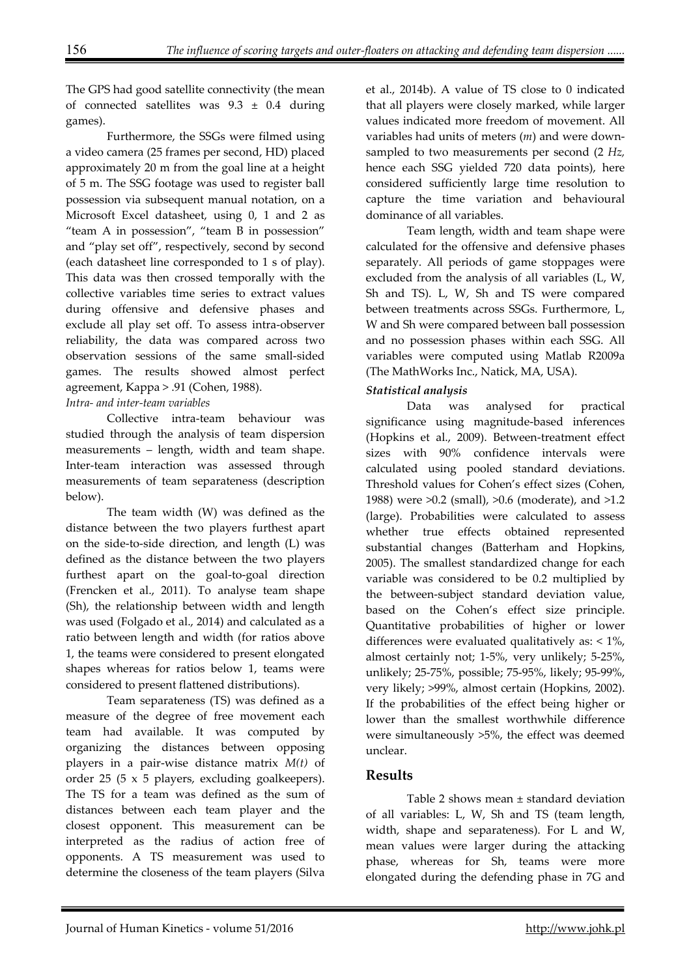The GPS had good satellite connectivity (the mean of connected satellites was  $9.3 \pm 0.4$  during games).

Furthermore, the SSGs were filmed using a video camera (25 frames per second, HD) placed approximately 20 m from the goal line at a height of 5 m. The SSG footage was used to register ball possession via subsequent manual notation, on a Microsoft Excel datasheet, using 0, 1 and 2 as "team A in possession", "team B in possession" and "play set off", respectively, second by second (each datasheet line corresponded to 1 s of play). This data was then crossed temporally with the collective variables time series to extract values during offensive and defensive phases and exclude all play set off. To assess intra-observer reliability, the data was compared across two observation sessions of the same small-sided games. The results showed almost perfect agreement, Kappa > .91 (Cohen, 1988).

#### *Intra- and inter-team variables*

Collective intra-team behaviour was studied through the analysis of team dispersion measurements – length, width and team shape. Inter-team interaction was assessed through measurements of team separateness (description below).

The team width (W) was defined as the distance between the two players furthest apart on the side-to-side direction, and length (L) was defined as the distance between the two players furthest apart on the goal-to-goal direction (Frencken et al., 2011). To analyse team shape (Sh), the relationship between width and length was used (Folgado et al., 2014) and calculated as a ratio between length and width (for ratios above 1, the teams were considered to present elongated shapes whereas for ratios below 1, teams were considered to present flattened distributions).

Team separateness (TS) was defined as a measure of the degree of free movement each team had available. It was computed by organizing the distances between opposing players in a pair-wise distance matrix *M(t)* of order 25 (5 x 5 players, excluding goalkeepers). The TS for a team was defined as the sum of distances between each team player and the closest opponent. This measurement can be interpreted as the radius of action free of opponents. A TS measurement was used to determine the closeness of the team players (Silva

et al., 2014b). A value of TS close to 0 indicated that all players were closely marked, while larger values indicated more freedom of movement. All variables had units of meters (*m*) and were downsampled to two measurements per second (2 *Hz,*  hence each SSG yielded 720 data points), here considered sufficiently large time resolution to capture the time variation and behavioural dominance of all variables.

Team length, width and team shape were calculated for the offensive and defensive phases separately. All periods of game stoppages were excluded from the analysis of all variables (L, W, Sh and TS). L, W, Sh and TS were compared between treatments across SSGs. Furthermore, L, W and Sh were compared between ball possession and no possession phases within each SSG. All variables were computed using Matlab R2009a (The MathWorks Inc., Natick, MA, USA).

### *Statistical analysis*

 Data was analysed for practical significance using magnitude-based inferences (Hopkins et al., 2009). Between-treatment effect sizes with 90% confidence intervals were calculated using pooled standard deviations. Threshold values for Cohen's effect sizes (Cohen, 1988) were >0.2 (small), >0.6 (moderate), and >1.2 (large). Probabilities were calculated to assess whether true effects obtained represented substantial changes (Batterham and Hopkins, 2005). The smallest standardized change for each variable was considered to be 0.2 multiplied by the between-subject standard deviation value, based on the Cohen's effect size principle. Quantitative probabilities of higher or lower differences were evaluated qualitatively as:  $\langle 1\% \rangle$ , almost certainly not; 1-5%, very unlikely; 5-25%, unlikely; 25-75%, possible; 75-95%, likely; 95-99%, very likely; >99%, almost certain (Hopkins, 2002). If the probabilities of the effect being higher or lower than the smallest worthwhile difference were simultaneously >5%, the effect was deemed unclear.

# **Results**

Table 2 shows mean ± standard deviation of all variables: L, W, Sh and TS (team length, width, shape and separateness). For L and W, mean values were larger during the attacking phase, whereas for Sh, teams were more elongated during the defending phase in 7G and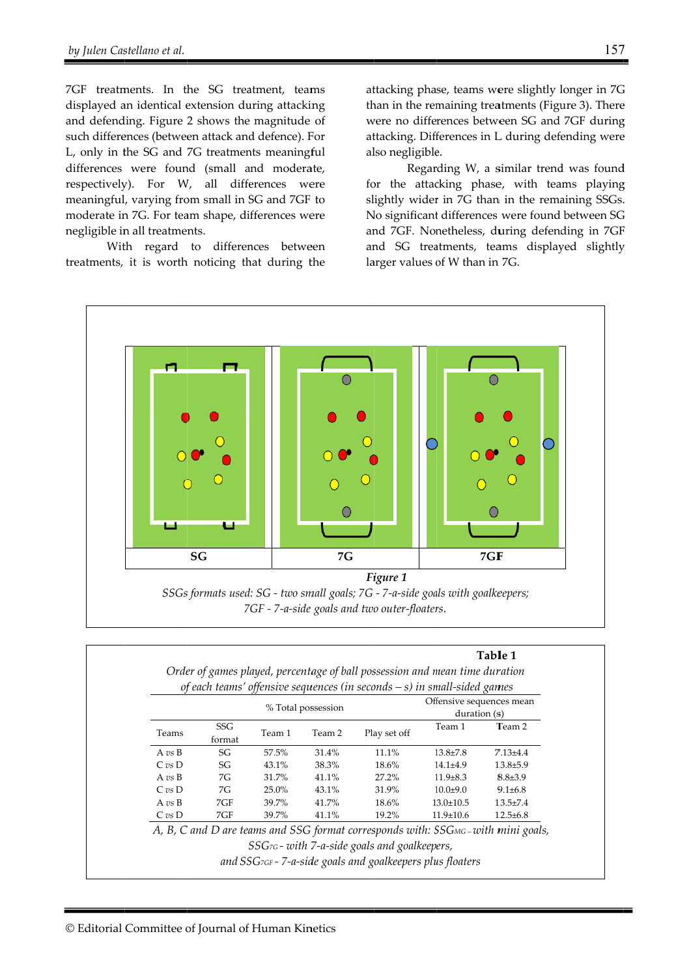7GF treatments. In the SG treatment, teams displayed an identical extension during attacking and defending. Figure 2 shows the magnitude of such differe ences (betwee en attack and d defence). F For L, only in the SG and 7G treatments meaningful differences were found (small and moderate, respectively). For W, all differences were meaningful, varying from small in SG and 7GF to moderate in 7G. For team shape, differences were negligible in all treatments.

With regard to differences between treatments, it is worth noticing that during the at ttacking pha se, teams we ere slightly l longer in 7G than in the remaining treatments (Figure 3). There were no differences between SG and 7GF during attacking. Differences in L during defending were al lso negligible e.

for the attacking phase, with teams playing slightly wider in 7G than in the remaining SSGs. N No significant t differences were found between SG and 7GF. Nonetheless, during defending in 7GF and SG treatments, teams displayed slightly larger values of W than in 7G. Regarding W, a similar trend was found Gre ag<br>re da ag<br>is.GF ly



|                                    |               |                    |        | Order of games played, percentage of ball possession and mean time duration<br>of each teams' offensive sequences (in seconds $-$ s) in small-sided games |                                          |                |
|------------------------------------|---------------|--------------------|--------|-----------------------------------------------------------------------------------------------------------------------------------------------------------|------------------------------------------|----------------|
|                                    |               | % Total possession |        |                                                                                                                                                           | Offensive sequences mean<br>duration (s) |                |
| Teams                              | SSG<br>format | Team 1             | Team 2 | Play set off                                                                                                                                              | Team 1                                   | Team 2         |
| A $\mathit{vs}$ B                  | SG            | 57.5%              | 31.4%  | 11.1%                                                                                                                                                     | $13.8 + 7.8$                             | $7.13 \pm 4.4$ |
| $C$ vs $D$                         | SG            | 43.1%              | 38.3%  | 18.6%                                                                                                                                                     | $14.1 + 4.9$                             | $13.8 + 5.9$   |
| A $vs$ B                           | 7G            | 31.7%              | 41.1%  | 27.2%                                                                                                                                                     | $11.9 \pm 8.3$                           | $8.8{\pm}3.9$  |
| $C \text{ } v \text{s} \text{ } D$ | 7G            | 25.0%              | 43.1%  | 31.9%                                                                                                                                                     | $10.0 + 9.0$                             | $9.1 \pm 6.8$  |
| A $\mathit{vs}$ B                  | 7GF           | 39.7%              | 41.7%  | 18.6%                                                                                                                                                     | $13.0 \pm 10.5$                          | $13.5 \pm 7.4$ |
| C v s D                            | 7GF           | 39.7%              | 41.1%  | 19.2%                                                                                                                                                     | $11.9 \pm 10.6$                          | $12.5 + 6.8$   |
|                                    |               |                    |        | A, B, C and D are teams and SSG format corresponds with: SSGMG-with mini goals,                                                                           |                                          |                |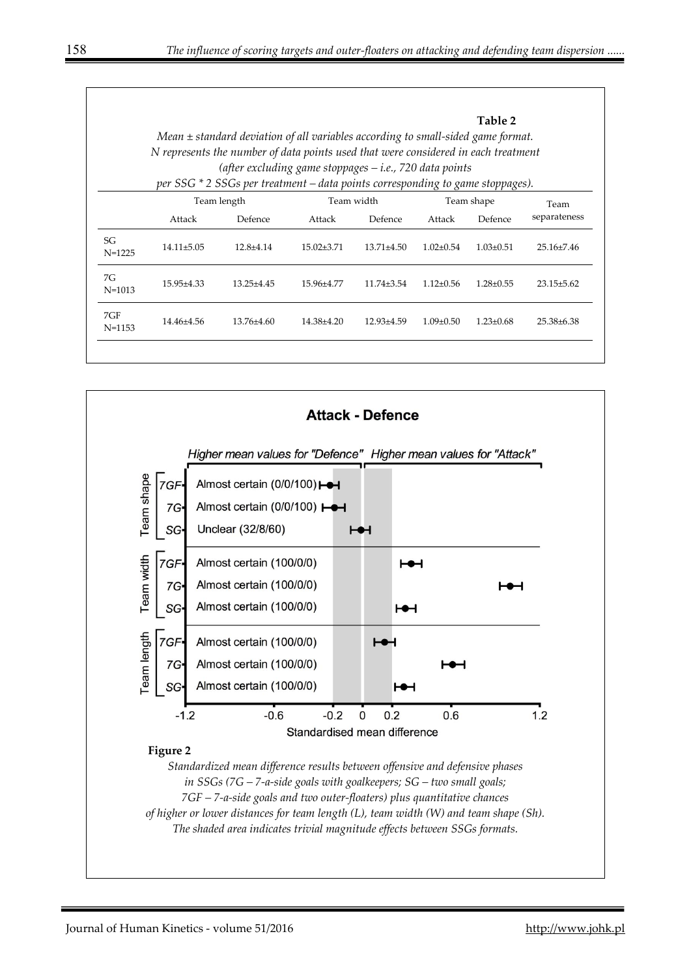|                   | Table 2<br>Mean $\pm$ standard deviation of all variables according to small-sided game format.<br>N represents the number of data points used that were considered in each treatment<br>(after excluding game stoppages $-i.e.,$ 720 data points<br>per SSG * 2 SSGs per treatment – data points corresponding to game stoppages). |                        |                      |                  |                 |                       |                      |  |
|-------------------|-------------------------------------------------------------------------------------------------------------------------------------------------------------------------------------------------------------------------------------------------------------------------------------------------------------------------------------|------------------------|----------------------|------------------|-----------------|-----------------------|----------------------|--|
|                   | Attack                                                                                                                                                                                                                                                                                                                              | Team length<br>Defence | Team width<br>Attack | Defence          | Attack          | Team shape<br>Defence | Team<br>separateness |  |
| SG<br>$N = 1225$  | $14.11 \pm 5.05$                                                                                                                                                                                                                                                                                                                    | $12.8 + 4.14$          | $15.02 + 3.71$       | $1371 + 450$     | $1.02+0.54$     | $1.03 \pm 0.51$       | $25.16\pm7.46$       |  |
| 7G<br>$N = 1013$  | 15.95±4.33                                                                                                                                                                                                                                                                                                                          | $1325+445$             | 15.96±4.77           | $1174 + 354$     | $112+0.56$      | $1.28 \pm 0.55$       | $23.15 + 5.62$       |  |
| 7GF<br>$N = 1153$ | 14 4 6 + 4 5 6                                                                                                                                                                                                                                                                                                                      | $13.76\pm4.60$         | $14.38\pm4.20$       | $12.93 \pm 4.59$ | $1.09 \pm 0.50$ | $1.23 \pm 0.68$       | $25.38\pm 6.38$      |  |
|                   |                                                                                                                                                                                                                                                                                                                                     |                        |                      |                  |                 |                       |                      |  |

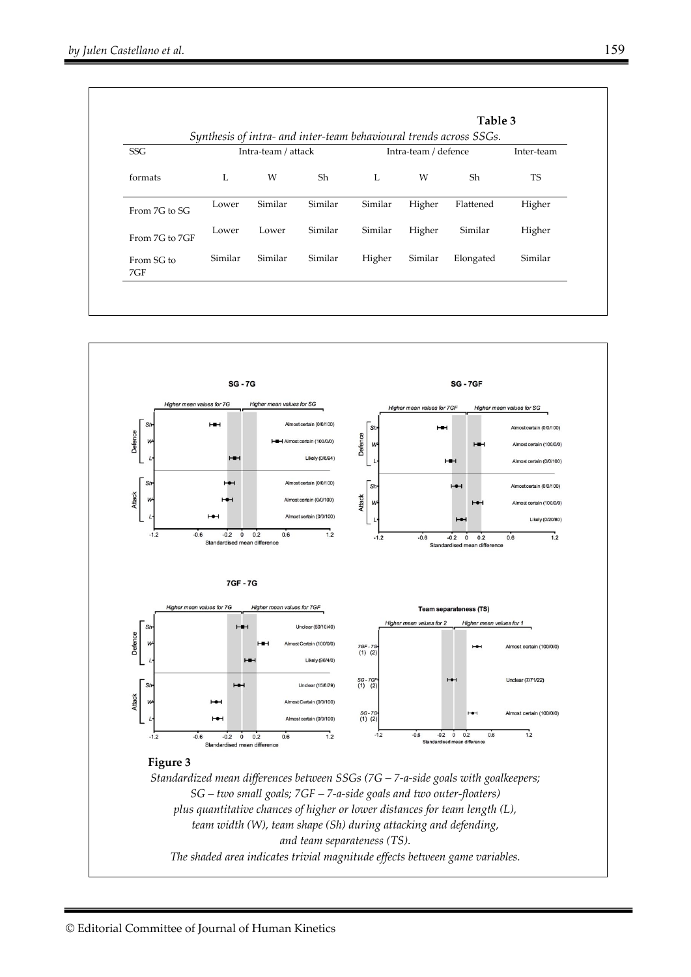|                   |         |                                             |         |         |            | Table 3                                                            |           |  |  |
|-------------------|---------|---------------------------------------------|---------|---------|------------|--------------------------------------------------------------------|-----------|--|--|
|                   |         |                                             |         |         |            | Synthesis of intra- and inter-team behavioural trends across SSGs. |           |  |  |
| <b>SSG</b>        |         | Intra-team / attack<br>Intra-team / defence |         |         | Inter-team |                                                                    |           |  |  |
| formats           | L       | W                                           | Sh      | L       | W          | Sh                                                                 | <b>TS</b> |  |  |
| From 7G to SG     | Lower   | Similar                                     | Similar | Similar | Higher     | Flattened                                                          | Higher    |  |  |
| From 7G to 7GF    | Lower   | Lower                                       | Similar | Similar | Higher     | Similar                                                            | Higher    |  |  |
| From SG to<br>7GF | Similar | Similar                                     | Similar | Higher  | Similar    | Elongated                                                          | Similar   |  |  |

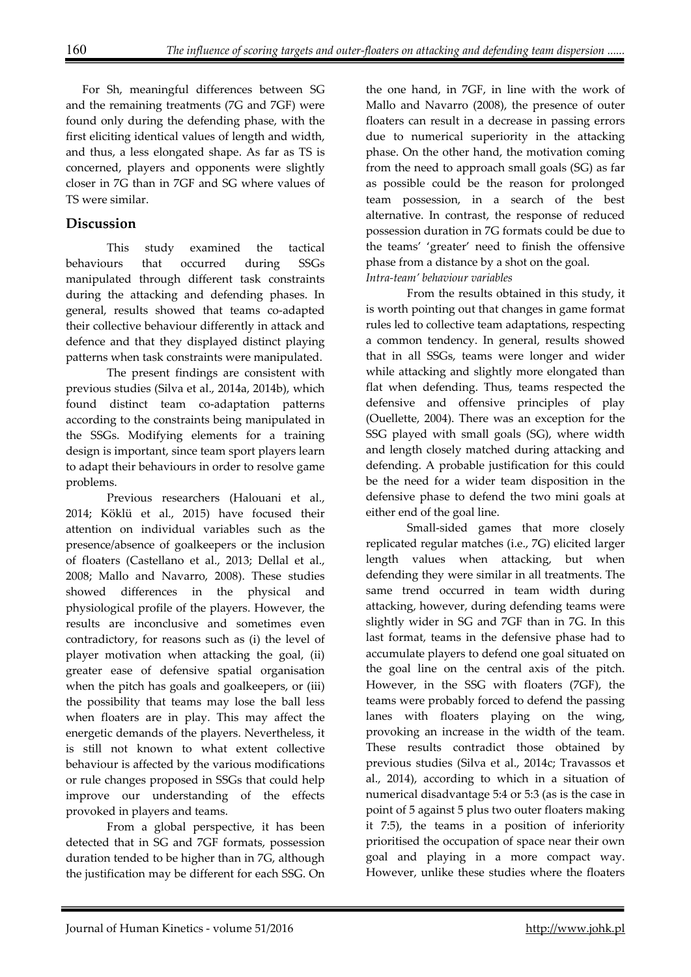For Sh, meaningful differences between SG and the remaining treatments (7G and 7GF) were found only during the defending phase, with the first eliciting identical values of length and width, and thus, a less elongated shape. As far as TS is concerned, players and opponents were slightly closer in 7G than in 7GF and SG where values of TS were similar.

# **Discussion**

This study examined the tactical behaviours that occurred during SSGs manipulated through different task constraints during the attacking and defending phases. In general, results showed that teams co-adapted their collective behaviour differently in attack and defence and that they displayed distinct playing patterns when task constraints were manipulated.

 The present findings are consistent with previous studies (Silva et al., 2014a, 2014b), which found distinct team co-adaptation patterns according to the constraints being manipulated in the SSGs. Modifying elements for a training design is important, since team sport players learn to adapt their behaviours in order to resolve game problems.

Previous researchers (Halouani et al., 2014; Köklü et al., 2015) have focused their attention on individual variables such as the presence/absence of goalkeepers or the inclusion of floaters (Castellano et al., 2013; Dellal et al., 2008; Mallo and Navarro, 2008). These studies showed differences in the physical and physiological profile of the players. However, the results are inconclusive and sometimes even contradictory, for reasons such as (i) the level of player motivation when attacking the goal, (ii) greater ease of defensive spatial organisation when the pitch has goals and goalkeepers, or (iii) the possibility that teams may lose the ball less when floaters are in play. This may affect the energetic demands of the players. Nevertheless, it is still not known to what extent collective behaviour is affected by the various modifications or rule changes proposed in SSGs that could help improve our understanding of the effects provoked in players and teams.

From a global perspective, it has been detected that in SG and 7GF formats, possession duration tended to be higher than in 7G, although the justification may be different for each SSG. On the one hand, in 7GF, in line with the work of Mallo and Navarro (2008), the presence of outer floaters can result in a decrease in passing errors due to numerical superiority in the attacking phase. On the other hand, the motivation coming from the need to approach small goals (SG) as far as possible could be the reason for prolonged team possession, in a search of the best alternative. In contrast, the response of reduced possession duration in 7G formats could be due to the teams' 'greater' need to finish the offensive phase from a distance by a shot on the goal. *Intra-team' behaviour variables* 

 From the results obtained in this study, it is worth pointing out that changes in game format rules led to collective team adaptations, respecting a common tendency. In general, results showed that in all SSGs, teams were longer and wider while attacking and slightly more elongated than flat when defending. Thus, teams respected the defensive and offensive principles of play (Ouellette, 2004). There was an exception for the SSG played with small goals (SG), where width and length closely matched during attacking and defending. A probable justification for this could be the need for a wider team disposition in the defensive phase to defend the two mini goals at either end of the goal line.

Small-sided games that more closely replicated regular matches (i.e., 7G) elicited larger length values when attacking, but when defending they were similar in all treatments. The same trend occurred in team width during attacking, however, during defending teams were slightly wider in SG and 7GF than in 7G. In this last format, teams in the defensive phase had to accumulate players to defend one goal situated on the goal line on the central axis of the pitch. However, in the SSG with floaters (7GF), the teams were probably forced to defend the passing lanes with floaters playing on the wing, provoking an increase in the width of the team. These results contradict those obtained by previous studies (Silva et al., 2014c; Travassos et al., 2014), according to which in a situation of numerical disadvantage 5:4 or 5:3 (as is the case in point of 5 against 5 plus two outer floaters making it 7:5), the teams in a position of inferiority prioritised the occupation of space near their own goal and playing in a more compact way. However, unlike these studies where the floaters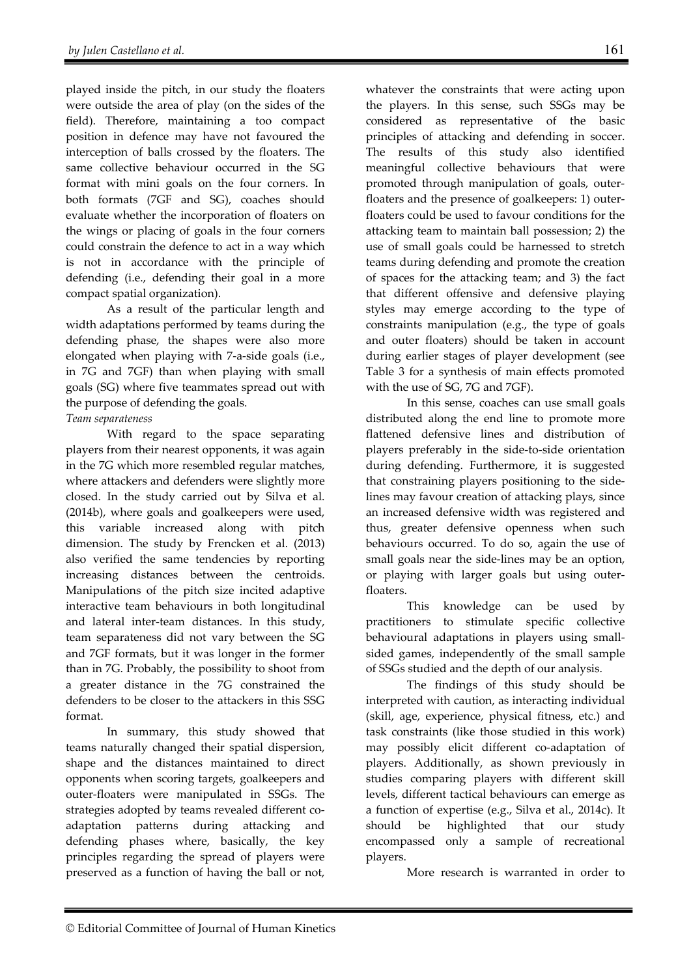played inside the pitch, in our study the floaters were outside the area of play (on the sides of the field). Therefore, maintaining a too compact position in defence may have not favoured the interception of balls crossed by the floaters. The same collective behaviour occurred in the SG format with mini goals on the four corners. In both formats (7GF and SG), coaches should evaluate whether the incorporation of floaters on the wings or placing of goals in the four corners could constrain the defence to act in a way which is not in accordance with the principle of defending (i.e., defending their goal in a more compact spatial organization).

As a result of the particular length and width adaptations performed by teams during the defending phase, the shapes were also more elongated when playing with 7-a-side goals (i.e., in 7G and 7GF) than when playing with small goals (SG) where five teammates spread out with the purpose of defending the goals.

#### *Team separateness*

With regard to the space separating players from their nearest opponents, it was again in the 7G which more resembled regular matches, where attackers and defenders were slightly more closed. In the study carried out by Silva et al. (2014b), where goals and goalkeepers were used, this variable increased along with pitch dimension. The study by Frencken et al. (2013) also verified the same tendencies by reporting increasing distances between the centroids. Manipulations of the pitch size incited adaptive interactive team behaviours in both longitudinal and lateral inter-team distances. In this study, team separateness did not vary between the SG and 7GF formats, but it was longer in the former than in 7G. Probably, the possibility to shoot from a greater distance in the 7G constrained the defenders to be closer to the attackers in this SSG format.

In summary, this study showed that teams naturally changed their spatial dispersion, shape and the distances maintained to direct opponents when scoring targets, goalkeepers and outer-floaters were manipulated in SSGs. The strategies adopted by teams revealed different coadaptation patterns during attacking and defending phases where, basically, the key principles regarding the spread of players were preserved as a function of having the ball or not,

whatever the constraints that were acting upon the players. In this sense, such SSGs may be considered as representative of the basic principles of attacking and defending in soccer. The results of this study also identified meaningful collective behaviours that were promoted through manipulation of goals, outerfloaters and the presence of goalkeepers: 1) outerfloaters could be used to favour conditions for the attacking team to maintain ball possession; 2) the use of small goals could be harnessed to stretch teams during defending and promote the creation of spaces for the attacking team; and 3) the fact that different offensive and defensive playing styles may emerge according to the type of constraints manipulation (e.g., the type of goals and outer floaters) should be taken in account during earlier stages of player development (see Table 3 for a synthesis of main effects promoted with the use of SG, 7G and 7GF).

In this sense, coaches can use small goals distributed along the end line to promote more flattened defensive lines and distribution of players preferably in the side-to-side orientation during defending. Furthermore, it is suggested that constraining players positioning to the sidelines may favour creation of attacking plays, since an increased defensive width was registered and thus, greater defensive openness when such behaviours occurred. To do so, again the use of small goals near the side-lines may be an option, or playing with larger goals but using outerfloaters.

This knowledge can be used by practitioners to stimulate specific collective behavioural adaptations in players using smallsided games, independently of the small sample of SSGs studied and the depth of our analysis.

The findings of this study should be interpreted with caution, as interacting individual (skill, age, experience, physical fitness, etc.) and task constraints (like those studied in this work) may possibly elicit different co-adaptation of players. Additionally, as shown previously in studies comparing players with different skill levels, different tactical behaviours can emerge as a function of expertise (e.g., Silva et al., 2014c). It should be highlighted that our study encompassed only a sample of recreational players.

More research is warranted in order to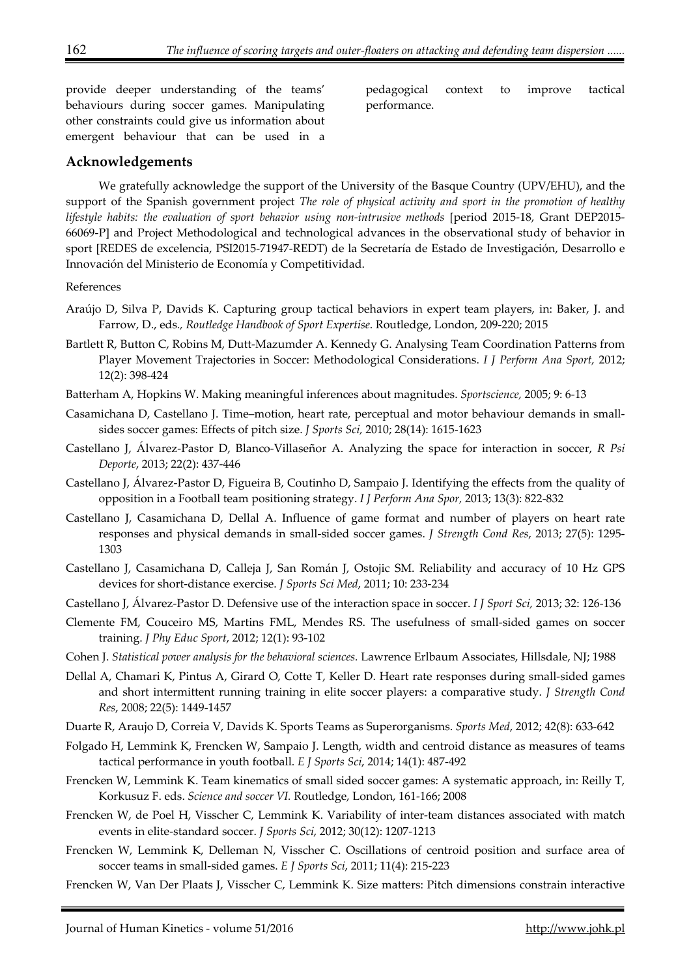provide deeper understanding of the teams' behaviours during soccer games. Manipulating other constraints could give us information about emergent behaviour that can be used in a

pedagogical context to improve tactical performance.

#### **Acknowledgements**

We gratefully acknowledge the support of the University of the Basque Country (UPV/EHU), and the support of the Spanish government project *The role of physical activity and sport in the promotion of healthy lifestyle habits: the evaluation of sport behavior using non-intrusive methods* [period 2015-18, Grant DEP2015-66069-P] and Project Methodological and technological advances in the observational study of behavior in sport [REDES de excelencia, PSI2015-71947-REDT) de la Secretaría de Estado de Investigación, Desarrollo e Innovación del Ministerio de Economía y Competitividad.

References

- Araújo D, Silva P, Davids K. Capturing group tactical behaviors in expert team players, in: Baker, J. and Farrow, D., eds*., Routledge Handbook of Sport Expertise*. Routledge, London, 209-220; 2015
- Bartlett R, Button C, Robins M, Dutt-Mazumder A. Kennedy G. Analysing Team Coordination Patterns from Player Movement Trajectories in Soccer: Methodological Considerations. *I J Perform Ana Sport,* 2012; 12(2): 398-424
- Batterham A, Hopkins W. Making meaningful inferences about magnitudes. *Sportscience,* 2005; 9: 6-13
- Casamichana D, Castellano J. Time–motion, heart rate, perceptual and motor behaviour demands in smallsides soccer games: Effects of pitch size. *J Sports Sci,* 2010; 28(14): 1615-1623
- Castellano J, Álvarez-Pastor D, Blanco-Villaseñor A. Analyzing the space for interaction in soccer, *R Psi Deporte*, 2013; 22(2): 437-446
- Castellano J, Álvarez-Pastor D, Figueira B, Coutinho D, Sampaio J. Identifying the effects from the quality of opposition in a Football team positioning strategy. *I J Perform Ana Spor,* 2013; 13(3): 822-832
- Castellano J, Casamichana D, Dellal A. Influence of game format and number of players on heart rate responses and physical demands in small-sided soccer games. *J Strength Cond Res*, 2013; 27(5): 1295- 1303
- Castellano J, Casamichana D, Calleja J, San Román J, Ostojic SM. Reliability and accuracy of 10 Hz GPS devices for short-distance exercise. *J Sports Sci Med*, 2011; 10: 233-234
- Castellano J, Álvarez-Pastor D. Defensive use of the interaction space in soccer. *I J Sport Sci,* 2013; 32: 126-136
- Clemente FM, Couceiro MS, Martins FML, Mendes RS. The usefulness of small-sided games on soccer training. *J Phy Educ Sport*, 2012; 12(1): 93-102
- Cohen J. *Statistical power analysis for the behavioral sciences.* Lawrence Erlbaum Associates, Hillsdale, NJ; 1988
- Dellal A, Chamari K, Pintus A, Girard O, Cotte T, Keller D. Heart rate responses during small-sided games and short intermittent running training in elite soccer players: a comparative study. *J Strength Cond Res*, 2008; 22(5): 1449-1457
- Duarte R, Araujo D, Correia V, Davids K. Sports Teams as Superorganisms. *Sports Med*, 2012; 42(8): 633-642
- Folgado H, Lemmink K, Frencken W, Sampaio J. Length, width and centroid distance as measures of teams tactical performance in youth football. *E J Sports Sci*, 2014; 14(1): 487-492
- Frencken W, Lemmink K. Team kinematics of small sided soccer games: A systematic approach, in: Reilly T, Korkusuz F. eds. *Science and soccer VI.* Routledge, London, 161-166; 2008
- Frencken W, de Poel H, Visscher C, Lemmink K. Variability of inter-team distances associated with match events in elite-standard soccer. *J Sports Sci*, 2012; 30(12): 1207-1213
- Frencken W, Lemmink K, Delleman N, Visscher C. Oscillations of centroid position and surface area of soccer teams in small-sided games. *E J Sports Sci*, 2011; 11(4): 215-223
- Frencken W, Van Der Plaats J, Visscher C, Lemmink K. Size matters: Pitch dimensions constrain interactive